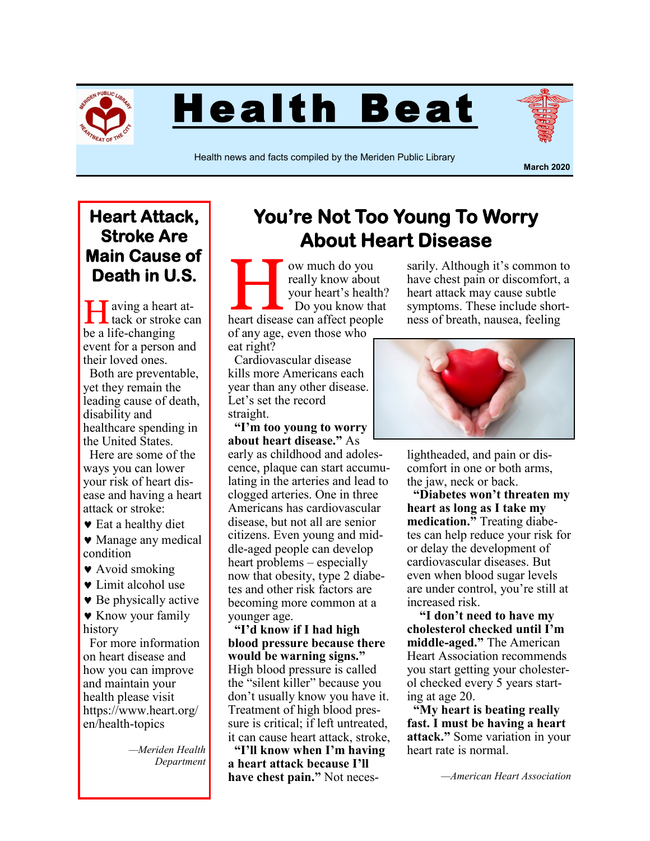

Health Beat



Health news and facts compiled by the Meriden Public Library

**March 2020**

## **Heart Attack, Stroke Are Main Cause of Death in U.S.**

I aving a heart at-<br>tack or stroke can be a life-changing event for a person and their loved ones.

 Both are preventable, yet they remain the leading cause of death, disability and healthcare spending in the United States.

 Here are some of the ways you can lower your risk of heart disease and having a heart attack or stroke:

 $\bullet$  Eat a healthy diet

• Manage any medical condition

- Avoid smoking
- **v** Limit alcohol use

**Be physically active** 

**\*** Know your family history

 For more information on heart disease and how you can improve and maintain your health please visit https://www.heart.org/ en/health-topics

> *—Meriden Health Department*

## **You're Not Too Young To Worry About Heart Disease**

We much do you<br>
really know about<br>
your heart's health?<br>
Do you know that<br>
heart disease can affect people ow much do you really know about your heart's health?  $\Box$  Do you know that of any age, even those who

eat right?

 Cardiovascular disease kills more Americans each year than any other disease. Let's set the record straight.

 **"I'm too young to worry about heart disease."** As early as childhood and adolescence, plaque can start accumulating in the arteries and lead to clogged arteries. One in three Americans has cardiovascular disease, but not all are senior citizens. Even young and middle-aged people can develop heart problems – especially now that obesity, type 2 diabetes and other risk factors are becoming more common at a younger age.

 **"I'd know if I had high blood pressure because there would be warning signs."** High blood pressure is called the "silent killer" because you don't usually know you have it. Treatment of high blood pressure is critical; if left untreated, it can cause heart attack, stroke,

 **"I'll know when I'm having a heart attack because I'll have chest pain."** Not neces-

sarily. Although it's common to have chest pain or discomfort, a heart attack may cause subtle symptoms. These include shortness of breath, nausea, feeling



lightheaded, and pain or discomfort in one or both arms, the jaw, neck or back.

 **"Diabetes won't threaten my heart as long as I take my medication."** Treating diabetes can help reduce your risk for or delay the development of cardiovascular diseases. But even when blood sugar levels are under control, you're still at increased risk.

 **"I don't need to have my cholesterol checked until I'm middle-aged."** The American Heart Association recommends you start getting your cholesterol checked every 5 years starting at age 20.

 **"My heart is beating really fast. I must be having a heart attack."** Some variation in your heart rate is normal.

*—American Heart Association*